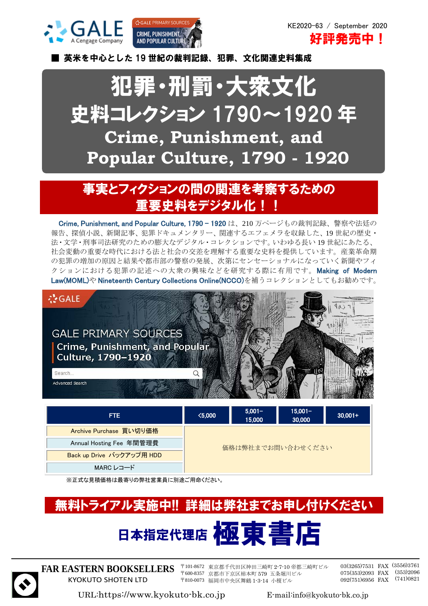



KE2020-63 / September 2020 **好評発売中!** 

■ 英米を中心とした 19 世紀の裁判記録、犯罪、文化関連史料集成

## 犯罪・刑罰・大衆文化 史料コレクション 1790~1920 年 **Crime, Punishment, and Popular Culture, 1790 - 1920**

## 事実とフィクションの間の関連を考察するための 重要史料をデジタル化!

Crime, Punishment, and Popular Culture, 1790 - 1920 は、210 万ページもの裁判記録、警察や法廷の 報告、探偵小説、新聞記事、犯罪ドキュメンタリー、関連するエフェメラを収録した、19 世紀の歴史・ 法・文学・刑事司法研究のための膨大なデジタル・コレクションです。いわゆる長い 19 世紀にあたる、 社会変動の重要な時代における法と社会の交差を理解する重要な史料を提供しています。産業革命期 の犯罪の増加の原因と結果や都市部の警察の発展、次第にセンセーショナルになっていく新聞やフィ クションにおける犯罪の記述への大衆の興味などを研究する際に有用です。Making of Modern Law(MOML)や Nineteenth Century Collections Online(NCCO)を補うコレクションとしてもお勧めです。



| FTE.                      | $\langle 5,000 \rangle$ | $5,001 -$<br>15,000 | $15,001 -$<br>30,000 | $30,001+$ |
|---------------------------|-------------------------|---------------------|----------------------|-----------|
| Archive Purchase 買い切り価格   | 価格は弊社までお問い合わせください       |                     |                      |           |
| Annual Hosting Fee 年間管理費  |                         |                     |                      |           |
| Back up Drive バックアップ用 HDD |                         |                     |                      |           |
| MARC レコード                 |                         |                     |                      |           |

※正式な見積価格は最寄りの弊社営業員に別途ご用命ください。

# 無料トライアル実施中!! 詳細は弊社までお申し付けください 日本指定代理店 極東 書



**FAR EASTERN BOOKSELLERS** KYOKUTO SHOTEN LTD

〒101-8672 東京都千代田区神田三崎町 2-7-10 帝都三崎町ビル 〒600-8357 京都市下京区柿本町 579 五条堀川ビル 〒810-0073 福岡市中央区舞鶴 1-3-14 小榎ビル

03(3265)7531 FAX (3556)3761 075(353)2093 FAX (353)2096 092(751)6956 FAX (741)0821

URL:https://www.kyokuto-bk.co.jp E-mail:info@kyokuto-bk.co.jp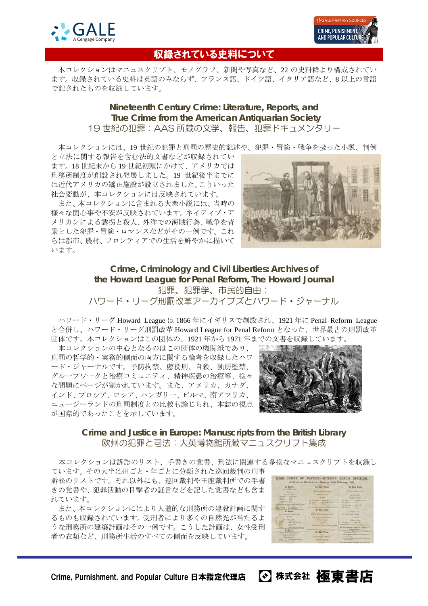



## 収録されている史料について

本コレクションはマニュスクリプト、モノグラフ、新聞や写真など、22 の史料群より構成されてい ます。収録されている史料は英語のみならず、フランス語、ドイツ語、イタリア語など、8 以上の言語 で記されたものを収録しています。

### **Nineteenth Century Crime: Literature, Reports, and True Crime from the American Antiquarian Society** 19 世紀の犯罪:AAS 所蔵の文学、報告、犯罪ドキュメンタリー

本コレクションには、19 世紀の犯罪と刑罰の歴史的記述や、犯罪・冒険・戦争を扱った小説、判例

と立法に関する報告を含む法的文書などが収録されてい ます。18 世紀末から 19 世紀初頭にかけて、アメリカでは 刑務所制度が創設され発展しました。19 世紀後半までに は近代アメリカの矯正施設が設立されました。こういった 社会変動が、本コレクションには反映されています。

また、本コレクションに含まれる大衆小説には、当時の 様々な関心事や不安が反映されています。ネイティブ・ア メリカンによる誘拐と殺人、外洋での海賊行為、戦争を背 景とした犯罪・冒険・ロマンスなどがその一例です。これ らは都市、農村、フロンティアでの生活を鮮やかに描いて います。



**Crime, Criminology and Civil Liberties: Archives of the Howard League for Penal Reform, The Howard Journal** 犯罪、犯罪学、市民的自由: ハワード・リーグ刑罰改革アーカイブズとハワード・ジャーナル

ハワード・リーグ Howard League は 1866 年にイギリスで創設され、1921 年に Penal Reform League と合併し、ハワード・リーグ刑罰改革 Howard League for Penal Reform となった、世界最古の刑罰改革 団体です。本コレクションはこの団体の、1921 年から 1971 年までの文書を収録しています。

本コレクションの中心となるのはこの団体の機関紙であり、 刑罰の哲学的・実務的側面の両方に関する論考を収録したハワ ード・ジャーナルです。予防拘禁、懲役刑、自殺、独房監禁、 グループワークと治療コミュニティ、精神疾患の治療等、様々 な問題にページが割かれています。また、アメリカ、カナダ、 インド、プロシア、ロシア、ハンガリー、ビルマ、南アフリカ、 ニュージーランドの刑罰制度との比較も論じられ、本誌の視点 が国際的であったことを示しています。



**Crime and Justice in Europe: Manuscripts from the British Library** 欧州の犯罪と司法:大英博物館所蔵マニュスクリプト集成

本コレクションは訴訟のリスト、手書きの覚書、刑法に関連する多様なマニュスクリプトを収録し

ています。その大半は州ごと・年ごとに分類された巡回裁判の刑事 訴訟のリストです。それ以外にも、巡回裁判や王座裁判所での手書 きの覚書や、犯罪活動の目撃者の証言などを記した覚書なども含ま れています。

また、本コレクションにはより人道的な刑務所の建設計画に関す るものも収録されています。受刑者により多くの自然光が当たるよ うな刑務所の建築計画はその一例です。こうした計画は、女性受刑 者の衣類など、刑務所生活のすべての側面を反映しています。